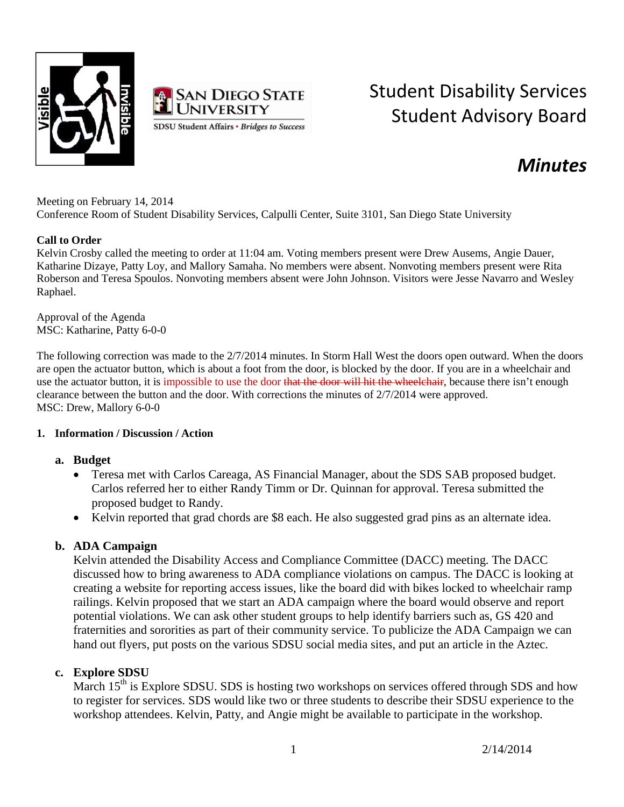



# Student Disability Services Student Advisory Board

## *Minutes*

Meeting on February 14, 2014 Conference Room of Student Disability Services, Calpulli Center, Suite 3101, San Diego State University

#### **Call to Order**

Kelvin Crosby called the meeting to order at 11:04 am. Voting members present were Drew Ausems, Angie Dauer, Katharine Dizaye, Patty Loy, and Mallory Samaha. No members were absent. Nonvoting members present were Rita Roberson and Teresa Spoulos. Nonvoting members absent were John Johnson. Visitors were Jesse Navarro and Wesley Raphael.

Approval of the Agenda MSC: Katharine, Patty 6-0-0

The following correction was made to the 2/7/2014 minutes. In Storm Hall West the doors open outward. When the doors are open the actuator button, which is about a foot from the door, is blocked by the door. If you are in a wheelchair and use the actuator button, it is impossible to use the door that the door will hit the wheelchair, because there isn't enough clearance between the button and the door. With corrections the minutes of 2/7/2014 were approved. MSC: Drew, Mallory 6-0-0

#### **1. Information / Discussion / Action**

#### **a. Budget**

- Teresa met with Carlos Careaga, AS Financial Manager, about the SDS SAB proposed budget. Carlos referred her to either Randy Timm or Dr. Quinnan for approval. Teresa submitted the proposed budget to Randy.
- Kelvin reported that grad chords are \$8 each. He also suggested grad pins as an alternate idea.

#### **b. ADA Campaign**

Kelvin attended the Disability Access and Compliance Committee (DACC) meeting. The DACC discussed how to bring awareness to ADA compliance violations on campus. The DACC is looking at creating a website for reporting access issues, like the board did with bikes locked to wheelchair ramp railings. Kelvin proposed that we start an ADA campaign where the board would observe and report potential violations. We can ask other student groups to help identify barriers such as, GS 420 and fraternities and sororities as part of their community service. To publicize the ADA Campaign we can hand out flyers, put posts on the various SDSU social media sites, and put an article in the Aztec.

#### **c. Explore SDSU**

March 15<sup>th</sup> is Explore SDSU. SDS is hosting two workshops on services offered through SDS and how to register for services. SDS would like two or three students to describe their SDSU experience to the workshop attendees. Kelvin, Patty, and Angie might be available to participate in the workshop.